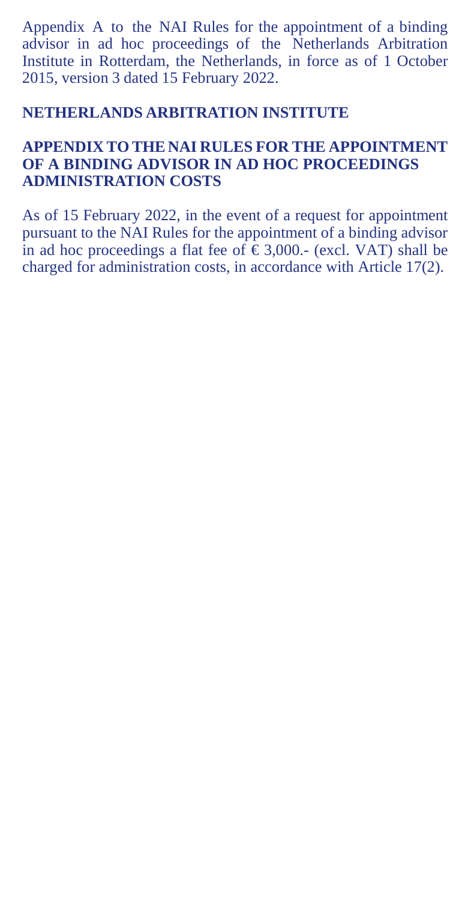Appendix A to the NAI Rules for the appointment of a binding advisor in ad hoc proceedings of the Netherlands Arbitration Institute in Rotterdam, the Netherlands, in force as of 1 October 2015, version 3 dated 15 February 2022.

## **NETHERLANDS ARBITRATION INSTITUTE**

## **APPENDIX TO THE NAI RULES FOR THE APPOINTMENT OF A BINDING ADVISOR IN AD HOC PROCEEDINGS ADMINISTRATION COSTS**

As of 15 February 2022, in the event of a request for appointment pursuant to the NAI Rules for the appointment of a binding advisor in ad hoc proceedings a flat fee of  $\epsilon$ 3,000.- (excl. VAT) shall be charged for administration costs, in accordance with Article 17(2).